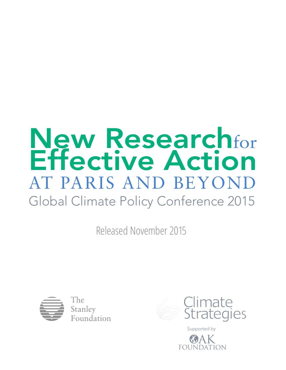# New Research Effective Action for AT PARIS AND BEYOND Global Climate Policy Conference 2015

Released November 2015



The Stanlev Foundation



Supported by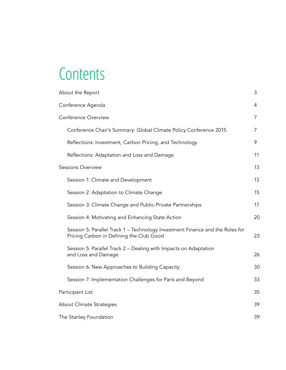# **Contents**

| About the Report                                                                                                          | 3  |
|---------------------------------------------------------------------------------------------------------------------------|----|
| Conference Agenda                                                                                                         | 4  |
| Conference Overview                                                                                                       | 7  |
| Conference Chair's Summary: Global Climate Policy Conference 2015                                                         | 7  |
| Reflections: Investment, Carbon Pricing, and Technology                                                                   | 9  |
| Reflections: Adaptation and Loss and Damage                                                                               | 11 |
| <b>Sessions Overview</b>                                                                                                  | 13 |
| Session 1: Climate and Development                                                                                        | 13 |
| Session 2: Adaptation to Climate Change                                                                                   | 15 |
| Session 3: Climate Change and Public-Private Partnerships                                                                 | 17 |
| Session 4: Motivating and Enhancing State Action                                                                          | 20 |
| Session 5: Parallel Track 1 – Technology Investment Finance and the Roles for<br>Pricing Carbon in Defining the Club Good | 23 |
| Session 5: Parallel Track 2 - Dealing with Impacts on Adaptation<br>and Loss and Damage                                   | 26 |
| Session 6: New Approaches to Building Capacity                                                                            | 30 |
| Session 7: Implementation Challenges for Paris and Beyond                                                                 | 33 |
| Participant List                                                                                                          | 35 |
| About Climate Strategies                                                                                                  | 39 |
| The Stanley Foundation                                                                                                    | 39 |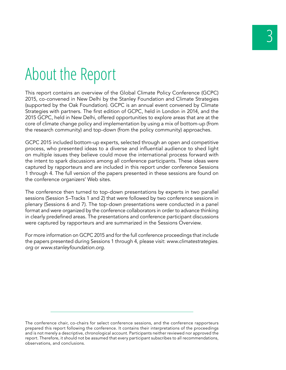# About the Report

This report contains an overview of the Global Climate Policy Conference (GCPC) 2015, co-convened in New Delhi by the Stanley Foundation and Climate Strategies (supported by the Oak Foundation). GCPC is an annual event convened by Climate Strategies with partners. The first edition of GCPC, held in London in 2014, and the 2015 GCPC, held in New Delhi, offered opportunities to explore areas that are at the core of climate change policy and implementation by using a mix of bottom-up (from the research community) and top-down (from the policy community) approaches.

GCPC 2015 included bottom-up experts, selected through an open and competitive process, who presented ideas to a diverse and influential audience to shed light on multiple issues they believe could move the international process forward with the intent to spark discussions among all conference participants. These ideas were captured by rapporteurs and are included in this report under conference Sessions 1 through 4. The full version of the papers presented in these sessions are found on the conference organizers' Web sites.

The conference then turned to top-down presentations by experts in two parallel sessions (Session 5–Tracks 1 and 2) that were followed by two conference sessions in plenary (Sessions 6 and 7). The top-down presentations were conducted in a panel format and were organized by the conference collaborators in order to advance thinking in clearly predefined areas. The presentations and conference participant discussions were captured by rapporteurs and are summarized in the Sessions Overview.

For more information on GCPC 2015 and for the full conference proceedings that include the papers presented during Sessions 1 through 4, please visit: *www.climatestrategies. org* or *www.stanleyfoundation.org*.

The conference chair, co-chairs for select conference sessions, and the conference rapporteurs prepared this report following the conference. It contains their interpretations of the proceedings and is not merely a descriptive, chronological account. Participants neither reviewed nor approved the report. Therefore, it should not be assumed that every participant subscribes to all recommendations, observations, and conclusions.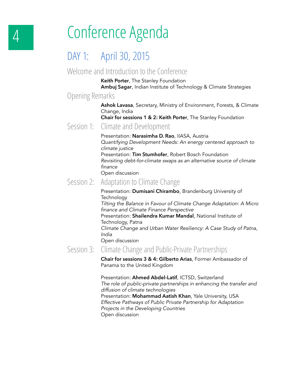# 4 Conference Agenda

#### DAY 1: April 30, 2015

#### Welcome and Introduction to the Conference

**Keith Porter**, The Stanley Foundation **Ambuj Sagar**, Indian Institute of Technology & Climate Strategies

#### Opening Remarks

**Ashok Lavasa**, Secretary, Ministry of Environment, Forests, & Climate Change, India

**Chair for sessions 1 & 2: Keith Porter**, The Stanley Foundation

#### Session 1: Climate and Development

Presentation: **Narasimha D. Rao**, IIASA, Austria *Quantifying Development Needs: An energy centered approach to climate justice* Presentation: **Tim Stumhofer**, Robert Bosch Foundation *Revisiting debt-for-climate swaps as an alternative source of climate* 

finance Open discussion

#### Session 2: Adaptation to Climate Change

Presentation: **Dumisani Chirambo**, Brandenburg University of Technology *Tilting the Balance in Favour of Climate Change Adaptation: A Micro* finance and Climate Finance Perspective

Presentation: **Shailendra Kumar Mandal**, National Institute of Technology, Patna

 Climate Change and Urban Water Resiliency: A Case Study of Patna, *India*

Open discussion

#### Session 3: Climate Change and Public-Private Partnerships

**Chair for sessions 3 & 4: Gilberto Arias**, Former Ambassador of Panama to the United Kingdom

Presentation: **Ahmed Abdel-Latif**, ICTSD, Switzerland  *The role of public-private partnerships in enhancing the transfer and diffusion of climate technologies* Presentation: **Mohammad Aatish Khan**, Yale University, USA Effective Pathways of Public Private Partnership for Adaptation Projects in the Developing Countries Open discussion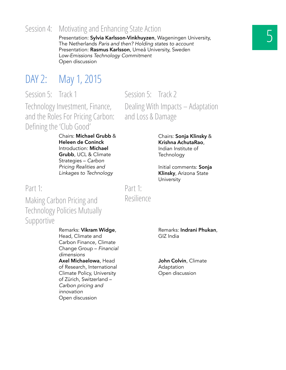#### 5 Session 4: Motivating and Enhancing State Action

Presentation: **Sylvia Karlsson-Vinkhuyzen**, Wageningen University, The Netherlands Paris and then? Holding states to account Presentation: **Rasmus Karlsson**, Umeå University, Sweden L*ow-Emissions Technology Commitment* Open discussion

Session 5: Track 2

### DAY 2: May 1, 2015

Session 5: Track 1

Technology Investment, Finance, and the Roles For Pricing Carbon: Defining the 'Club Good'

> Chairs: **Michael Grubb** & **Heleen de Coninck**  Introduction: **Michael Grubb**, UCL & Climate Strategies – *Carbon*  Pricing Realities and *Linkages to Technology*

Part 1:

Part 1: Resilience

Making Carbon Pricing and Technology Policies Mutually Supportive

> Remarks: **Vikram Widge**, Head, Climate and Carbon Finance, Climate Change Group – *Financial dimensions* **Axel Michaelowa**, Head of Research, International Climate Policy, University of Zürich, Switzerland – *Carbon pricing and innovation* Open discussion

Remarks: **Indrani Phukan**, GIZ India

**John Colvin**, Climate Adaptation Open discussion

Dealing With Impacts – Adaptation and Loss & Damage

> Chairs: **Sonja Klinsky** & **Krishna AchutaRao**, Indian Institute of **Technology**

> Initial comments: **Sonja Klinsky**, Arizona State **University**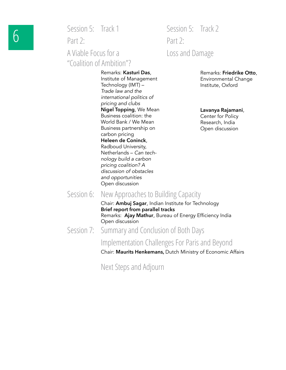Session 5: Track 1

Part 2: A Viable Focus for a "Coalition of Ambition"? Session 5: Track 2 Part 2: Loss and Damage

Remarks: **Kasturi Das**, Institute of Management Technology (IMT) – *Trade law and the international politics of pricing and clubs* **Nigel Topping**, We Mean Business coalition: the World Bank / We Mean Business partnership on carbon pricing **Heleen de Coninck**, Radboud University, Netherlands – *Can technology build a carbon*  pricing coalition? A *discussion of obstacles and opportunities* Open discussion

Remarks: **Friedrike Otto**, Environmental Change Institute, Oxford

**Lavanya Rajamani**, Center for Policy Research, India Open discussion

Session 6: New Approaches to Building Capacity

Chair: **Ambuj Sagar**, Indian Institute for Technology **Brief report from parallel tracks** Remarks: **Ajay Mathur**, Bureau of Energy Efficiency India Open discussion

Session 7: Summary and Conclusion of Both Days

#### Implementation Challenges For Paris and Beyond

Chair: **Maurits Henkemans,** Dutch Ministry of Economic Affairs

Next Steps and Adjourn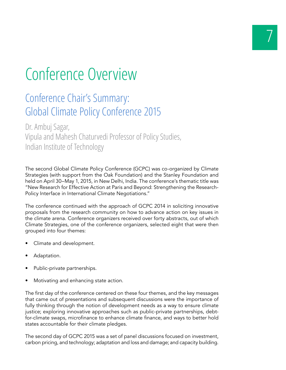# Conference Overview

#### Conference Chair's Summary: Global Climate Policy Conference 2015

Dr. Ambuj Sagar, Vipula and Mahesh Chaturvedi Professor of Policy Studies, Indian Institute of Technology

The second Global Climate Policy Conference (GCPC) was co-organized by Climate Strategies (with support from the Oak Foundation) and the Stanley Foundation and held on April 30–May 1, 2015, in New Delhi, India. The conference's thematic title was "New Research for Effective Action at Paris and Beyond: Strengthening the Research-Policy Interface in International Climate Negotiations."

The conference continued with the approach of GCPC 2014 in soliciting innovative proposals from the research community on how to advance action on key issues in the climate arena. Conference organizers received over forty abstracts, out of which Climate Strategies, one of the conference organizers, selected eight that were then grouped into four themes:

- Climate and development.
- Adaptation.
- Public-private partnerships.
- Motivating and enhancing state action.

The first day of the conference centered on these four themes, and the key messages that came out of presentations and subsequent discussions were the importance of fully thinking through the notion of development needs as a way to ensure climate justice; exploring innovative approaches such as public-private partnerships, debtfor-climate swaps, microfinance to enhance climate finance, and ways to better hold states accountable for their climate pledges.

The second day of GCPC 2015 was a set of panel discussions focused on investment, carbon pricing, and technology; adaptation and loss and damage; and capacity building.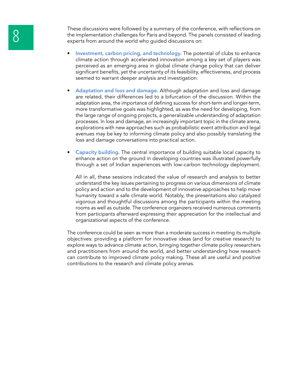These discussions were followed by a summary of the conference, with reflections on<br>the implementation challenges for Paris and beyond. The panels consisted of leading<br>experts from around the world who guided discussions o the implementation challenges for Paris and beyond. The panels consisted of leading experts from around the world who guided discussions on:

- **Investment, carbon pricing, and technology.** The potential of clubs to enhance climate action through accelerated innovation among a key set of players was perceived as an emerging area in global climate change policy that can deliver significant benefits, yet the uncertainty of its feasibility, effectiveness, and process seemed to warrant deeper analysis and investigation.
- **Adaptation and loss and damage.** Although adaptation and loss and damage are related, their differences led to a bifurcation of the discussion. Within the adaptation area, the importance of defining success for short-term and longer-term, more transformative goals was highlighted, as was the need for developing, from the large range of ongoing projects, a generalizable understanding of adaptation processes. In loss and damage, an increasingly important topic in the climate arena, explorations with new approaches such as probabilistic event attribution and legal avenues may be key to informing climate policy and also possibly translating the loss and damage conversations into practical action.
- **Capacity building.** The central importance of building suitable local capacity to enhance action on the ground in developing countries was illustrated powerfully through a set of Indian experiences with low-carbon technology deployment.

All in all, these sessions indicated the value of research and analysis to better understand the key issues pertaining to progress on various dimensions of climate policy and action and to the development of innovative approaches to help move humanity toward a safe climate world. Notably, the presentations also catalyzed vigorous and thoughtful discussions among the participants within the meeting rooms as well as outside. The conference organizers received numerous comments from participants afterward expressing their appreciation for the intellectual and organizational aspects of the conference.

The conference could be seen as more than a moderate success in meeting its multiple objectives: providing a platform for innovative ideas (and for creative research) to explore ways to advance climate action, bringing together climate policy researchers and practitioners from around the world, and better understanding how research can contribute to improved climate policy making. These all are useful and positive contributions to the research and climate policy arenas.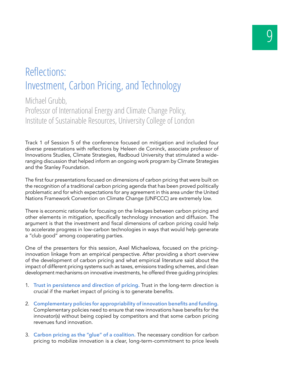#### Reflections: Investment, Carbon Pricing, and Technology

Michael Grubb, Professor of International Energy and Climate Change Policy, Institute of Sustainable Resources, University College of London

Track 1 of Session 5 of the conference focused on mitigation and included four diverse presentations with reflections by Heleen de Coninck, associate professor of Innovations Studies, Climate Strategies, Radboud University that stimulated a wideranging discussion that helped inform an ongoing work program by Climate Strategies and the Stanley Foundation.

The first four presentations focused on dimensions of carbon pricing that were built on the recognition of a traditional carbon pricing agenda that has been proved politically problematic and for which expectations for any agreement in this area under the United Nations Framework Convention on Climate Change (UNFCCC) are extremely low.

There is economic rationale for focusing on the linkages between carbon pricing and other elements in mitigation, specifically technology innovation and diffusion. The argument is that the investment and fiscal dimensions of carbon pricing could help to accelerate progress in low-carbon technologies in ways that would help generate a "club good" among cooperating parties.

One of the presenters for this session, Axel Michaelowa, focused on the pricinginnovation linkage from an empirical perspective. After providing a short overview of the development of carbon pricing and what empirical literature said about the impact of different pricing systems such as taxes, emissions trading schemes, and clean development mechanisms on innovative investments, he offered three guiding principles:

- 1. **Trust in persistence and direction of pricing.** Trust in the long-term direction is crucial if the market impact of pricing is to generate benefits.
- 2. **Complementary policies for appropriability of innovation benefits and funding.** Complementary policies need to ensure that new innovations have benefits for the innovator(s) without being copied by competitors and that some carbon pricing revenues fund innovation.
- 3. **Carbon pricing as the "glue" of a coalition.** The necessary condition for carbon pricing to mobilize innovation is a clear, long-term-commitment to price levels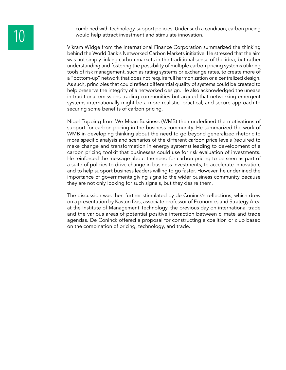combined with technology-support policies. Under such a condition, carbon pricing<br>would help attract investment and stimulate innovation. would help attract investment and stimulate innovation.

> Vikram Widge from the International Finance Corporation summarized the thinking behind the World Bank's Networked Carbon Markets initiative. He stressed that the aim was not simply linking carbon markets in the traditional sense of the idea, but rather understanding and fostering the possibility of multiple carbon pricing systems utilizing tools of risk management, such as rating systems or exchange rates, to create more of a "bottom-up" network that does not require full harmonization or a centralized design. As such, principles that could reflect differential quality of systems could be created to help preserve the integrity of a networked design. He also acknowledged the unease in traditional emissions trading communities but argued that networking emergent systems internationally might be a more realistic, practical, and secure approach to securing some benefits of carbon pricing.

> Nigel Topping from We Mean Business (WMB) then underlined the motivations of support for carbon pricing in the business community. He summarized the work of WMB in developing thinking about the need to go beyond generalized rhetoric to more specific analysis and scenarios of the different carbon price levels (required to make change and transformation in energy systems) leading to development of a carbon pricing toolkit that businesses could use for risk evaluation of investments. He reinforced the message about the need for carbon pricing to be seen as part of a suite of policies to drive change in business investments, to accelerate innovation, and to help support business leaders willing to go faster. However, he underlined the importance of governments giving signs to the wider business community because they are not only looking for such signals, but they desire them.

> The discussion was then further stimulated by de Coninck's reflections, which drew on a presentation by Kasturi Das, associate professor of Economics and Strategy Area at the Institute of Management Technology, the previous day on international trade and the various areas of potential positive interaction between climate and trade agendas. De Coninck offered a proposal for constructing a coalition or club based on the combination of pricing, technology, and trade.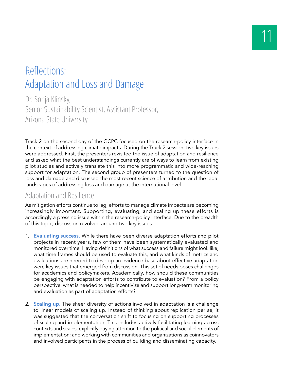#### Reflections: Adaptation and Loss and Damage

Dr. Sonja Klinsky, Senior Sustainability Scientist, Assistant Professor, Arizona State University

Track 2 on the second day of the GCPC focused on the research-policy interface in the context of addressing climate impacts. During the Track 2 session, two key issues were addressed. First, the presenters revisited the issue of adaptation and resilience and asked what the best understandings currently are of ways to learn from existing pilot studies and actively translate this into more programmatic and wide-reaching support for adaptation. The second group of presenters turned to the question of loss and damage and discussed the most recent science of attribution and the legal landscapes of addressing loss and damage at the international level.

#### Adaptation and Resilience

As mitigation efforts continue to lag, efforts to manage climate impacts are becoming increasingly important. Supporting, evaluating, and scaling up these efforts is accordingly a pressing issue within the research-policy interface. Due to the breadth of this topic, discussion revolved around two key issues.

- 1. **Evaluating success.** While there have been diverse adaptation efforts and pilot projects in recent years, few of them have been systematically evaluated and monitored over time. Having definitions of what success and failure might look like, what time frames should be used to evaluate this, and what kinds of metrics and evaluations are needed to develop an evidence base about effective adaptation were key issues that emerged from discussion. This set of needs poses challenges for academics and policymakers. Academically, how should these communities be engaging with adaptation efforts to contribute to evaluation? From a policy perspective, what is needed to help incentivize and support long-term monitoring and evaluation as part of adaptation efforts?
- 2. **Scaling up.** The sheer diversity of actions involved in adaptation is a challenge to linear models of scaling up. Instead of thinking about replication per se, it was suggested that the conversation shift to focusing on supporting processes of scaling and implementation. This includes actively facilitating learning across contexts and scales; explicitly paying attention to the political and social elements of implementation; and working with communities and organizations as coinnovators and involved participants in the process of building and disseminating capacity.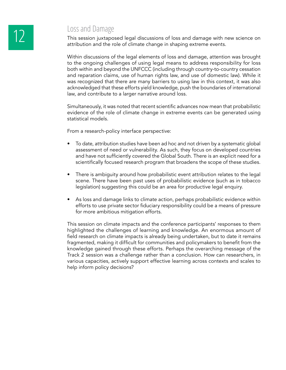# **12** Loss and Damage<br>This session juxtapo

This session juxtaposed legal discussions of loss and damage with new science on attribution and the role of climate change in shaping extreme events.

Within discussions of the legal elements of loss and damage, attention was brought to the ongoing challenges of using legal means to address responsibility for loss both within and beyond the UNFCCC (including through country-to-country cessation and reparation claims, use of human rights law, and use of domestic law). While it was recognized that there are many barriers to using law in this context, it was also acknowledged that these efforts yield knowledge, push the boundaries of international law, and contribute to a larger narrative around loss.

Simultaneously, it was noted that recent scientific advances now mean that probabilistic evidence of the role of climate change in extreme events can be generated using statistical models.

From a research-policy interface perspective:

- To date, attribution studies have been ad hoc and not driven by a systematic global assessment of need or vulnerability. As such, they focus on developed countries and have not sufficiently covered the Global South. There is an explicit need for a scientifically focused research program that broadens the scope of these studies.
- There is ambiguity around how probabilistic event attribution relates to the legal scene. There have been past uses of probabilistic evidence (such as in tobacco legislation) suggesting this could be an area for productive legal enquiry.
- As loss and damage links to climate action, perhaps probabilistic evidence within efforts to use private sector fiduciary responsibility could be a means of pressure for more ambitious mitigation efforts.

This session on climate impacts and the conference participants' responses to them highlighted the challenges of learning and knowledge. An enormous amount of field research on climate impacts is already being undertaken, but to date it remains fragmented, making it difficult for communities and policymakers to benefit from the knowledge gained through these efforts. Perhaps the overarching message of the Track 2 session was a challenge rather than a conclusion. How can researchers, in various capacities, actively support effective learning across contexts and scales to help inform policy decisions?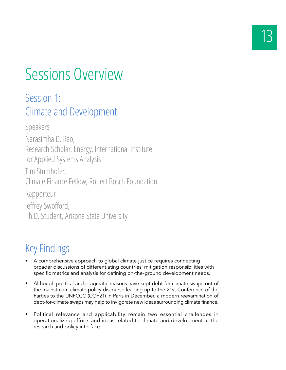# Sessions Overview

#### Session 1: Climate and Development

Speakers Narasimha D. Rao, Research Scholar, Energy, International Institute for Applied Systems Analysis Tim Stumhofer, Climate Finance Fellow, Robert Bosch Foundation Rapporteur Jeffrey Swofford, Ph.D. Student, Arizona State University

## Key Findings

- A comprehensive approach to global climate justice requires connecting broader discussions of differentiating countries' mitigation responsibilities with specific metrics and analysis for defining on-the-ground development needs.
- Although political and pragmatic reasons have kept debt-for-climate swaps out of the mainstream climate policy discourse leading up to the 21st Conference of the Parties to the UNFCCC (COP21) in Paris in December, a modern reexamination of debt-for-climate swaps may help to invigorate new ideas surrounding climate finance.
- Political relevance and applicability remain two essential challenges in operationalizing efforts and ideas related to climate and development at the research and policy interface.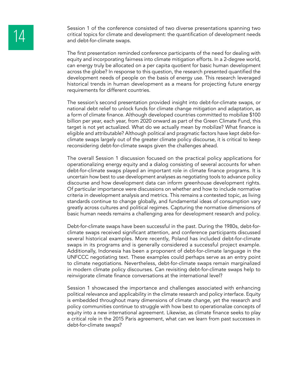Session 1 of the conference consisted of two diverse presentations spanning two<br>critical topics for climate and development: the quantification of development needs<br>and debt-for-climate swaps. critical topics for climate and development: the quantification of development needs and debt-for-climate swaps.

> The first presentation reminded conference participants of the need for dealing with equity and incorporating fairness into climate mitigation efforts. In a 2-degree world, can energy truly be allocated on a per capita quotient for basic human development across the globe? In response to this question, the research presented quantified the development needs of people on the basis of energy use. This research leveraged historical trends in human development as a means for projecting future energy requirements for different countries.

> The session's second presentation provided insight into debt-for-climate swaps, or national debt relief to unlock funds for climate change mitigation and adaptation, as a form of climate finance. Although developed countries committed to mobilize \$100 billion per year, each year, from 2020 onward as part of the Green Climate Fund, this target is not yet actualized. What do we actually mean by mobilize? What finance is eligible and attributable? Although political and pragmatic factors have kept debt-forclimate swaps largely out of the greater climate policy discourse, it is critical to keep reconsidering debt-for-climate swaps given the challenges ahead.

> The overall Session 1 discussion focused on the practical policy applications for operationalizing energy equity and a dialog consisting of several accounts for when debt-for-climate swaps played an important role in climate finance programs. It is uncertain how best to use development analyses as negotiating tools to advance policy discourse and how development data can inform greenhouse development rights. Of particular importance were discussions on whether and how to include normative criteria in development analysis and metrics. This remains a contested topic, as living standards continue to change globally, and fundamental ideas of consumption vary greatly across cultures and political regimes. Capturing the normative dimensions of basic human needs remains a challenging area for development research and policy.

> Debt-for-climate swaps have been successful in the past. During the 1980s, debt-forclimate swaps received significant attention, and conference participants discussed several historical examples. More recently, Poland has included debt-for-climate swaps in its programs and is generally considered a successful project example. Additionally, Indonesia has been a proponent of debt-for-climate language in the UNFCCC negotiating text. These examples could perhaps serve as an entry point to climate negotiations. Nevertheless, debt-for-climate swaps remain marginalized in modern climate policy discourses. Can revisiting debt-for-climate swaps help to reinvigorate climate finance conversations at the international level?

> Session 1 showcased the importance and challenges associated with enhancing political relevance and applicability in the climate research and policy interface. Equity is embedded throughout many dimensions of climate change, yet the research and policy communities continue to struggle with how best to operationalize concepts of equity into a new international agreement. Likewise, as climate finance seeks to play a critical role in the 2015 Paris agreement, what can we learn from past successes in debt-for-climate swaps?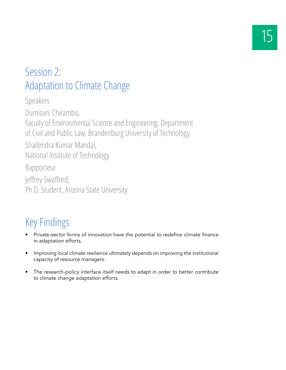## Session 2: Adaptation to Climate Change

Speakers Dumisani Chirambo, Faculty of Environmental Science and Engineering, Department of Civil and Public Law, Brandenburg University of Technology Shailendra Kumar Mandal, National Institute of Technology Rapporteur Jeffrey Swofford, Ph.D. Student, Arizona State University

## Key Findings

- Private-sector forms of innovation have the potential to redefine climate finance in adaptation efforts.
- Improving local climate resilience ultimately depends on improving the institutional capacity of resource managers.
- The research-policy interface itself needs to adapt in order to better contribute to climate change adaptation efforts.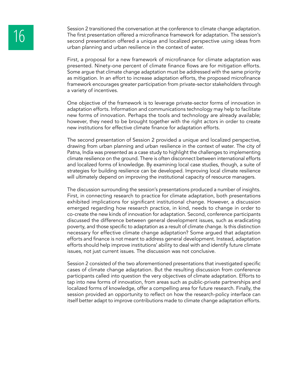Session 2 transitioned the conversation at the conference to climate change adaptation.<br>
The first presentation offered a microfinance framework for adaptation. The session's<br>
second presentation offered a unique and local The first presentation offered a microfinance framework for adaptation. The session's urban planning and urban resilience in the context of water.

> First, a proposal for a new framework of microfinance for climate adaptation was presented. Ninety-one percent of climate finance flows are for mitigation efforts. Some argue that climate change adaptation must be addressed with the same priority as mitigation. In an effort to increase adaptation efforts, the proposed microfinance framework encourages greater participation from private-sector stakeholders through a variety of incentives.

> One objective of the framework is to leverage private-sector forms of innovation in adaptation efforts. Information and communications technology may help to facilitate new forms of innovation. Perhaps the tools and technology are already available; however, they need to be brought together with the right actors in order to create new institutions for effective climate finance for adaptation efforts.

> The second presentation of Session 2 provided a unique and localized perspective, drawing from urban planning and urban resilience in the context of water. The city of Patna, India was presented as a case study to highlight the challenges to implementing climate resilience on the ground. There is often disconnect between international efforts and localized forms of knowledge. By examining local case studies, though, a suite of strategies for building resilience can be developed. Improving local climate resilience will ultimately depend on improving the institutional capacity of resource managers.

> The discussion surrounding the session's presentations produced a number of insights. First, in connecting research to practice for climate adaptation, both presentations exhibited implications for significant institutional change. However, a discussion emerged regarding how research practice, in kind, needs to change in order to co-create the new kinds of innovation for adaptation. Second, conference participants discussed the difference between general development issues, such as eradicating poverty, and those specific to adaptation as a result of climate change. Is this distinction necessary for effective climate change adaptation? Some argued that adaptation efforts and finance is not meant to address general development. Instead, adaptation efforts should help improve institutions' ability to deal with and identify future climate issues, not just current issues. The discussion was not conclusive.

> Session 2 consisted of the two aforementioned presentations that investigated specific cases of climate change adaptation. But the resulting discussion from conference participants called into question the very objectives of climate adaptation. Efforts to tap into new forms of innovation, from areas such as public-private partnerships and localized forms of knowledge, offer a compelling area for future research. Finally, the session provided an opportunity to reflect on how the research-policy interface can itself better adapt to improve contributions made to climate change adaptation efforts.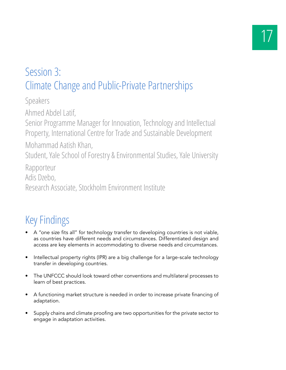## Session 3: Climate Change and Public-Private Partnerships

Speakers

Ahmed Abdel Latif,

Senior Programme Manager for Innovation, Technology and Intellectual Property, International Centre for Trade and Sustainable Development

Mohammad Aatish Khan,

Student, Yale School of Forestry & Environmental Studies, Yale University

Rapporteur

Adis Dzebo,

Research Associate, Stockholm Environment Institute

### Key Findings

- A "one size fits all" for technology transfer to developing countries is not viable, as countries have different needs and circumstances. Differentiated design and access are key elements in accommodating to diverse needs and circumstances.
- Intellectual property rights (IPR) are a big challenge for a large-scale technology transfer in developing countries.
- The UNFCCC should look toward other conventions and multilateral processes to learn of best practices.
- A functioning market structure is needed in order to increase private financing of adaptation.
- Supply chains and climate proofing are two opportunities for the private sector to engage in adaptation activities.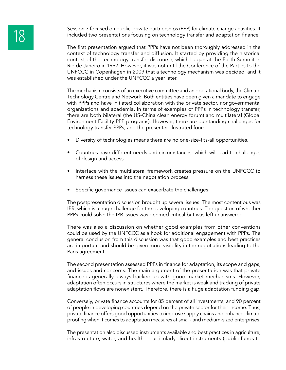Session 3 focused on public-private partnerships (PPP) for climate change activities. It<br>included two presentations focusing on technology transfer and adaptation finance. included two presentations focusing on technology transfer and adaptation finance.

The first presentation argued that PPPs have not been thoroughly addressed in the context of technology transfer and diffusion. It started by providing the historical context of the technology transfer discourse, which began at the Earth Summit in Rio de Janeiro in 1992. However, it was not until the Conference of the Parties to the UNFCCC in Copenhagen in 2009 that a technology mechanism was decided, and it was established under the UNFCCC a year later.

The mechanism consists of an executive committee and an operational body, the Climate Technology Centre and Network. Both entities have been given a mandate to engage with PPPs and have initiated collaboration with the private sector, nongovernmental organizations and academia. In terms of examples of PPPs in technology transfer, there are both bilateral (the US-China clean energy forum) and multilateral (Global Environment Facility PPP programs). However, there are outstanding challenges for technology transfer PPPs, and the presenter illustrated four:

- Diversity of technologies means there are no one-size-fits-all opportunities.
- Countries have different needs and circumstances, which will lead to challenges of design and access.
- Interface with the multilateral framework creates pressure on the UNFCCC to harness these issues into the negotiation process.
- Specific governance issues can exacerbate the challenges.

The postpresentation discussion brought up several issues. The most contentious was IPR, which is a huge challenge for the developing countries. The question of whether PPPs could solve the IPR issues was deemed critical but was left unanswered.

There was also a discussion on whether good examples from other conventions could be used by the UNFCCC as a hook for additional engagement with PPPs. The general conclusion from this discussion was that good examples and best practices are important and should be given more visibility in the negotiations leading to the Paris agreement.

The second presentation assessed PPPs in finance for adaptation, its scope and gaps, and issues and concerns. The main argument of the presentation was that private finance is generally always backed up with good market mechanisms. However, adaptation often occurs in structures where the market is weak and tracking of private adaptation flows are nonexistent. Therefore, there is a huge adaptation funding gap.

Conversely, private finance accounts for 85 percent of all investments, and 90 percent of people in developing countries depend on the private sector for their income. Thus, private finance offers good opportunities to improve supply chains and enhance climate proofing when it comes to adaptation measures at small- and medium-sized enterprises.

The presentation also discussed instruments available and best practices in agriculture, infrastructure, water, and health—particularly direct instruments (public funds to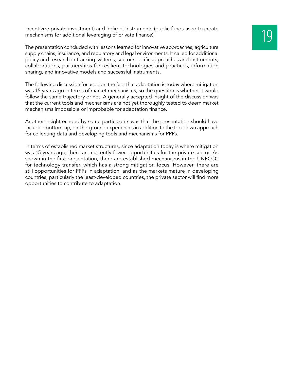incentivize private investment) and indirect instruments (public funds used to create mechanisms for additional leveraging of private finance).

The presentation concluded with lessons learned for innovative approaches, agriculture supply chains, insurance, and regulatory and legal environments. It called for additional policy and research in tracking systems, sector specific approaches and instruments, collaborations, partnerships for resilient technologies and practices, information sharing, and innovative models and successful instruments.

The following discussion focused on the fact that adaptation is today where mitigation was 15 years ago in terms of market mechanisms, so the question is whether it would follow the same trajectory or not. A generally accepted insight of the discussion was that the current tools and mechanisms are not yet thoroughly tested to deem market mechanisms impossible or improbable for adaptation finance.

Another insight echoed by some participants was that the presentation should have included bottom-up, on-the-ground experiences in addition to the top-down approach for collecting data and developing tools and mechanisms for PPPs.

In terms of established market structures, since adaptation today is where mitigation was 15 years ago, there are currently fewer opportunities for the private sector. As shown in the first presentation, there are established mechanisms in the UNFCCC for technology transfer, which has a strong mitigation focus. However, there are still opportunities for PPPs in adaptation, and as the markets mature in developing countries, particularly the least-developed countries, the private sector will find more opportunities to contribute to adaptation.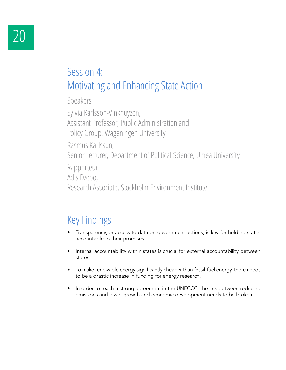### Session 4: Motivating and Enhancing State Action

Speakers

Sylvia Karlsson-Vinkhuyzen, Assistant Professor, Public Administration and Policy Group, Wageningen University Rasmus Karlsson, Senior Letturer, Department of Political Science, Umea University Rapporteur Adis Dzebo, Research Associate, Stockholm Environment Institute

## Key Findings

- Transparency, or access to data on government actions, is key for holding states accountable to their promises.
- Internal accountability within states is crucial for external accountability between states.
- To make renewable energy significantly cheaper than fossil-fuel energy, there needs to be a drastic increase in funding for energy research.
- In order to reach a strong agreement in the UNFCCC, the link between reducing emissions and lower growth and economic development needs to be broken.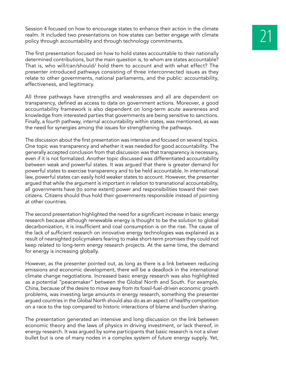Session 4 focused on how to encourage states to enhance their action in the climate<br>realm. It included two presentations on how states can better engage with climate<br>policy through accountability and through technology com realm. It included two presentations on how states can better engage with climate policy through accountability and through technology commitments.

The first presentation focused on how to hold states accountable to their nationally determined contributions, but the main question is, to whom are states accountable? That is, who will/can/should/ hold them to account and with what effect? The presenter introduced pathways consisting of three interconnected issues as they relate to other governments, national parliaments, and the public: accountability, effectiveness, and legitimacy.

All three pathways have strengths and weaknesses and all are dependent on transparency, defined as access to data on government actions. Moreover, a good accountability framework is also dependent on long-term acute awareness and knowledge from interested parties that governments are being sensitive to sanctions. Finally, a fourth pathway, internal accountability within states, was mentioned, as was the need for synergies among the issues for strengthening the pathways.

The discussion about the first presentation was intensive and focused on several topics. One topic was transparency and whether it was needed for good accountability. The generally accepted conclusion from that discussion was that transparency is necessary, even if it is not formalized. Another topic discussed was differentiated accountability between weak and powerful states. It was argued that there is greater demand for powerful states to exercise transparency and to be held accountable. In international law, powerful states can easily hold weaker states to account. However, the presenter argued that while the argument is important in relation to transnational accountability, all governments have (to some extent) power and responsibilities toward their own citizens. Citizens should thus hold their governments responsible instead of pointing at other countries.

The second presentation highlighted the need for a significant increase in basic energy research because although renewable energy is thought to be the solution to global decarbonization, it is insufficient and coal consumption is on the rise. The cause of the lack of sufficient research on innovative energy technologies was explained as a result of nearsighted policymakers fearing to make short-term promises they could not keep related to long-term energy research projects. At the same time, the demand for energy is increasing globally.

However, as the presenter pointed out, as long as there is a link between reducing emissions and economic development, there will be a deadlock in the international climate change negotiations. Increased basic energy research was also highlighted as a potential "peacemaker" between the Global North and South. For example, China, because of the desire to move away from its fossil-fuel-driven economic growth problems, was investing large amounts in energy research, something the presenter argued countries in the Global North should also do as an aspect of healthy competition on a race to the top compared to historic interactions of blame and burden sharing.

The presentation generated an intensive and long discussion on the link between economic theory and the laws of physics in driving investment, or lack thereof, in energy research. It was argued by some participants that basic research is not a silver bullet but is one of many nodes in a complex system of future energy supply. Yet,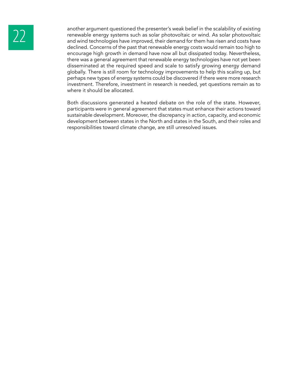another argument questioned the presenter's weak belief in the scalability of existing<br>renewable energy systems such as solar photovoltaic or wind. As solar photovoltaic<br>and wind technologies have improved, their demand fo renewable energy systems such as solar photovoltaic or wind. As solar photovoltaic and wind technologies have improved, their demand for them has risen and costs have declined. Concerns of the past that renewable energy costs would remain too high to encourage high growth in demand have now all but dissipated today. Nevertheless, there was a general agreement that renewable energy technologies have not yet been disseminated at the required speed and scale to satisfy growing energy demand globally. There is still room for technology improvements to help this scaling up, but perhaps new types of energy systems could be discovered if there were more research investment. Therefore, investment in research is needed, yet questions remain as to where it should be allocated.

> Both discussions generated a heated debate on the role of the state. However, participants were in general agreement that states must enhance their actions toward sustainable development. Moreover, the discrepancy in action, capacity, and economic development between states in the North and states in the South, and their roles and responsibilities toward climate change, are still unresolved issues.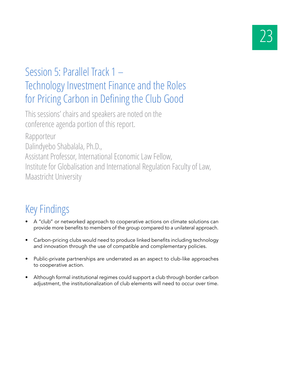## Session 5: Parallel Track 1 – Technology Investment Finance and the Roles for Pricing Carbon in Defining the Club Good

This sessions' chairs and speakers are noted on the conference agenda portion of this report.

Rapporteur Dalindyebo Shabalala, Ph.D., Assistant Professor, International Economic Law Fellow, Institute for Globalisation and International Regulation Faculty of Law, Maastricht University

## Key Findings

- A "club" or networked approach to cooperative actions on climate solutions can provide more benefits to members of the group compared to a unilateral approach.
- Carbon-pricing clubs would need to produce linked benefits including technology and innovation through the use of compatible and complementary policies.
- Public-private partnerships are underrated as an aspect to club-like approaches to cooperative action.
- Although formal institutional regimes could support a club through border carbon adjustment, the institutionalization of club elements will need to occur over time.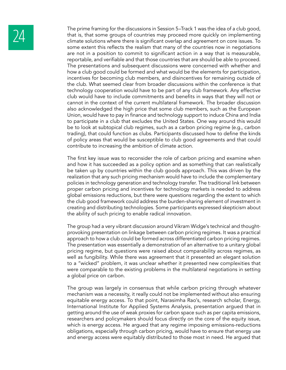

The prime framing for the discussions in Session 5–Track 1 was the idea of a club good,<br>that is, that some groups of countries may proceed more quickly on implementing<br>climate solutions where there is significant overlap a that is, that some groups of countries may proceed more quickly on implementing some extent this reflects the realism that many of the countries now in negotiations are not in a position to commit to significant action in a way that is measurable, reportable, and verifiable and that those countries that are should be able to proceed. The presentations and subsequent discussions were concerned with whether and how a club good could be formed and what would be the elements for participation, incentives for becoming club members, and disincentives for remaining outside of the club. What seemed clear from broader discussions within the conference is that technology cooperation would have to be part of any club framework. Any effective club would have to include commitments and benefits in ways that they will not or cannot in the context of the current multilateral framework. The broader discussion also acknowledged the high price that some club members, such as the European Union, would have to pay in finance and technology support to induce China and India to participate in a club that excludes the United States. One way around this would be to look at subtopical club regimes, such as a carbon pricing regime (e.g., carbon trading), that could function as clubs. Participants discussed how to define the kinds of policy areas that would be susceptible to club good agreements and that could contribute to increasing the ambition of climate action.

> The first key issue was to reconsider the role of carbon pricing and examine when and how it has succeeded as a policy option and as something that can realistically be taken up by countries within the club goods approach. This was driven by the realization that any such pricing mechanism would have to include the complementary policies in technology generation and technology transfer. The traditional link between proper carbon pricing and incentives for technology markets is needed to address global emissions reductions, but there were questions regarding the extent to which the club good framework could address the burden-sharing element of investment in creating and distributing technologies. Some participants expressed skepticism about the ability of such pricing to enable radical innovation.

> The group had a very vibrant discussion around Vikram Widge's technical and thoughtprovoking presentation on linkage between carbon pricing regimes. It was a practical approach to how a club could be formed across differentiated carbon pricing regimes. The presentation was essentially a demonstration of an alternative to a unitary global pricing regime, but questions were raised about comparability across regimes, as well as fungibility. While there was agreement that it presented an elegant solution to a "wicked" problem, it was unclear whether it presented new complexities that were comparable to the existing problems in the multilateral negotiations in setting a global price on carbon.

> The group was largely in consensus that while carbon pricing through whatever mechanism was a necessity, it really could not be implemented without also ensuring equitable energy access. To that point, Narasimha Rao's, research scholar, Energy, International Institute for Applied Systems Analysis, presentation argued that in getting around the use of weak proxies for carbon space such as per capita emissions, researchers and policymakers should focus directly on the core of the equity issue, which is energy access. He argued that any regime imposing emissions-reductions obligations, especially through carbon pricing, would have to ensure that energy use and energy access were equitably distributed to those most in need. He argued that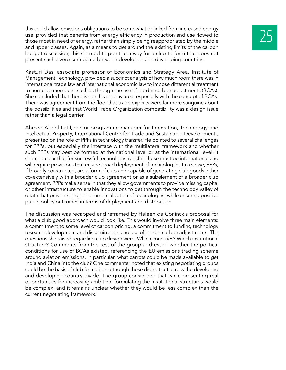Kasturi Das, associate professor of Economics and Strategy Area, Institute of Management Technology, provided a succinct analysis of how much room there was in international trade law and international economic law to impose differential treatment to non-club members, such as through the use of border carbon adjustments (BCAs). She concluded that there is significant gray area, especially with the concept of BCAs. There was agreement from the floor that trade experts were far more sanguine about the possibilities and that World Trade Organization compatibility was a design issue rather than a legal barrier.

Ahmed Abdel Latif, senior programme manager for Innovation, Technology and Intellectual Property, International Centre for Trade and Sustainable Development , presented on the role of PPPs in technology transfer. He pointed to several challenges for PPPs, but especially the interface with the multilateral framework and whether such PPPs may best be formed at the national level or at the international level. It seemed clear that for successful technology transfer, these must be international and will require provisions that ensure broad deployment of technologies. In a sense, PPPs, if broadly constructed, are a form of club and capable of generating club goods either co-extensively with a broader club agreement or as a subelement of a broader club agreement. PPPs make sense in that they allow governments to provide missing capital or other infrastructure to enable innovations to get through the technology valley of death that prevents proper commercialization of technologies, while ensuring positive public policy outcomes in terms of deployment and distribution.

The discussion was recapped and reframed by Heleen de Coninck's proposal for what a club good approach would look like. This would involve three main elements: a commitment to some level of carbon pricing, a commitment to funding technology research development and dissemination, and use of border carbon adjustments. The questions she raised regarding club design were: Which countries? Which institutional structure? Comments from the rest of the group addressed whether the political conditions for use of BCAs existed, referencing the EU emissions trading scheme around aviation emissions. In particular, what carrots could be made available to get India and China into the club? One commenter noted that existing negotiating groups could be the basis of club formation, although these did not cut across the developed and developing country divide. The group considered that while presenting real opportunities for increasing ambition, formulating the institutional structures would be complex, and it remains unclear whether they would be less complex than the current negotiating framework.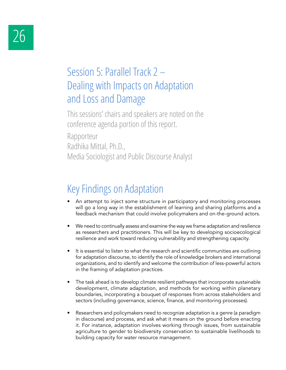#### Session 5: Parallel Track 2 – Dealing with Impacts on Adaptation and Loss and Damage

This sessions' chairs and speakers are noted on the conference agenda portion of this report.

Rapporteur Radhika Mittal, Ph.D., Media Sociologist and Public Discourse Analyst

## Key Findings on Adaptation

- An attempt to inject some structure in participatory and monitoring processes will go a long way in the establishment of learning and sharing platforms and a feedback mechanism that could involve policymakers and on-the-ground actors.
- We need to continually assess and examine the way we frame adaptation and resilience as researchers and practitioners. This will be key to developing socioecological resilience and work toward reducing vulnerability and strengthening capacity.
- It is essential to listen to what the research and scientific communities are outlining for adaptation discourse, to identify the role of knowledge brokers and international organizations, and to identify and welcome the contribution of less-powerful actors in the framing of adaptation practices.
- The task ahead is to develop climate resilient pathways that incorporate sustainable development, climate adaptation, and methods for working within planetary boundaries, incorporating a bouquet of responses from across stakeholders and sectors (including governance, science, finance, and monitoring processes).
- Researchers and policymakers need to recognize adaptation is a genre (a paradigm in discourse) and process, and ask what it means on the ground before enacting it. For instance, adaptation involves working through issues, from sustainable agriculture to gender to biodiversity conservation to sustainable livelihoods to building capacity for water resource management.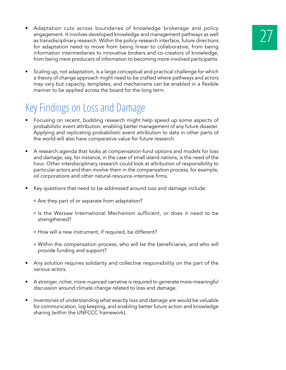- Adaptation cuts across boundaries of knowledge brokerage and policy<br>
engagement. It involves developed knowledge and management pathways as well<br>
as transdisciplinary research. Within the policy-research interface, futur engagement. It involves developed knowledge and management pathways as well for adaptation need to move from being linear to collaborative, from being information intermediaries to innovative brokers and co-creators of knowledge, from being mere producers of information to becoming more-involved participants.
- Scaling up, not adaptation, is a large conceptual and practical challenge for which a theory of change approach might need to be crafted where pathways and actors may vary but capacity, templates, and mechanisms can be enabled in a flexible manner to be applied across the board for the long term.

#### Key Findings on Loss and Damage

- Focusing on recent, budding research might help speed up some aspects of probabilistic event attribution, enabling better management of any future disaster. Applying and replicating probabilistic event attribution to data in other parts of the world will also have comparative value for future research.
- A research agenda that looks at compensation-fund options and models for loss and damage, say, for instance, in the case of small island nations, is the need of the hour. Other interdisciplinary research could look at attribution of responsibility to particular actors and then involve them in the compensation process, for example, oil corporations and other natural-resource-intensive firms.
- Key questions that need to be addressed around loss and damage include:
	- ο Are they part of or separate from adaptation?
	- ο Is the Warsaw International Mechanism sufficient, or does it need to be strengthened?
	- ο How will a new instrument, if required, be different?
	- ο Within the compensation process, who will be the beneficiaries, and who will provide funding and support?
- Any solution requires solidarity and collective responsibility on the part of the various actors.
- A stronger, richer, more-nuanced narrative is required to generate more-meaningful discussion around climate change related to loss and damage.
- Inventories of understanding what exactly loss and damage are would be valuable for communication, log keeping, and enabling better future action and knowledge sharing (within the UNFCCC framework).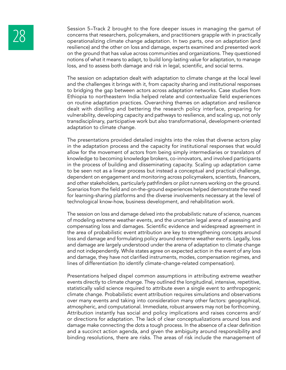28 Session 5–Track 2 brought to the fore deeper issues in managing the gamut of<br>concerns that researchers, policymakers, and practitioners grapple with in practically<br>operationalizing climate change adaptation. In two part concerns that researchers, policymakers, and practitioners grapple with in practically operationalizing climate change adaptation. In two parts, one on adaptation (and resilience) and the other on loss and damage, experts examined and presented work on the ground that has value across communities and organizations. They questioned notions of what it means to adapt, to build long-lasting value for adaptation, to manage loss, and to assess both damage and risk in legal, scientific, and social terms.

> The session on adaptation dealt with adaptation to climate change at the local level and the challenges it brings with it, from capacity sharing and institutional responses to bridging the gap between actors across adaptation networks. Case studies from Ethiopia to northeastern India helped relate and contextualize field experiences on routine adaptation practices. Overarching themes on adaptation and resilience dealt with distilling and bettering the research policy interface, preparing for vulnerability, developing capacity and pathways to resilience, and scaling up, not only transdisciplinary, participative work but also transformational, development-oriented adaptation to climate change.

> The presentations provided detailed insights into the roles that diverse actors play in the adaptation process and the capacity for institutional responses that would allow for the movement of actors from being simply intermediaries or translators of knowledge to becoming knowledge brokers, co-innovators, and involved participants in the process of building and disseminating capacity. Scaling up adaptation came to be seen not as a linear process but instead a conceptual and practical challenge, dependent on engagement and monitoring across policymakers, scientists, financers, and other stakeholders, particularly pathfinders or pilot runners working on the ground. Scenarios from the field and on-the-ground experiences helped demonstrate the need for learning-sharing platforms and the diverse involvements necessary at the level of technological know-how, business development, and rehabilitation work.

> The session on loss and damage delved into the probabilistic nature of science, nuances of modeling extreme weather events, and the uncertain legal arena of assessing and compensating loss and damages. Scientific evidence and widespread agreement in the area of probabilistic event attribution are key to strengthening concepts around loss and damage and formulating policy around extreme weather events. Legally, loss and damage are largely understood under the arena of adaptation to climate change and not independently. While states agree on expected action in the event of any loss and damage, they have not clarified instruments, modes, compensation regimes, and lines of differentiation (to identify climate-change-related compensation).

> Presentations helped dispel common assumptions in attributing extreme weather events directly to climate change. They outlined the longitudinal, intensive, repetitive, statistically valid science required to attribute even a single event to anthropogenic climate change. Probabilistic event attribution requires simulations and observations over many events and taking into consideration many other factors: geographical, atmospheric, and computational. Immediate, robust answers may not be forthcoming. Attribution instantly has social and policy implications and raises concerns and/ or directions for adaptation. The lack of clear conceptualizations around loss and damage make connecting the dots a tough process. In the absence of a clear definition and a succinct action agenda, and given the ambiguity around responsibility and binding resolutions, there are risks. The areas of risk include the management of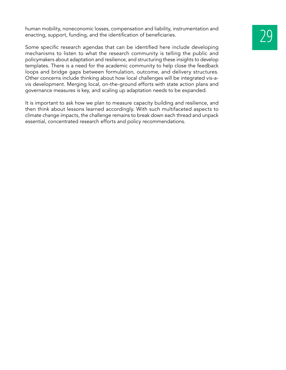human mobility, noneconomic losses, compensation and liability, instrumentation and enacting, support, funding, and the identification of beneficiaries.

Some specific research agendas that can be identified here include developing mechanisms to listen to what the research community is telling the public and policymakers about adaptation and resilience, and structuring these insights to develop templates. There is a need for the academic community to help close the feedback loops and bridge gaps between formulation, outcome, and delivery structures. Other concerns include thinking about how local challenges will be integrated vis-avis development. Merging local, on-the-ground efforts with state action plans and governance measures is key, and scaling up adaptation needs to be expanded.

It is important to ask how we plan to measure capacity building and resilience, and then think about lessons learned accordingly. With such multifaceted aspects to climate change impacts, the challenge remains to break down each thread and unpack essential, concentrated research efforts and policy recommendations.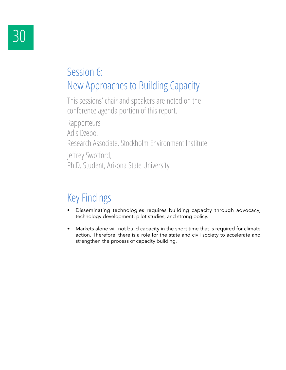### Session 6: New Approaches to Building Capacity

This sessions' chair and speakers are noted on the conference agenda portion of this report.

Rapporteurs Adis Dzebo, Research Associate, Stockholm Environment Institute Jeffrey Swofford, Ph.D. Student, Arizona State University

## Key Findings

- Disseminating technologies requires building capacity through advocacy, technology development, pilot studies, and strong policy.
- Markets alone will not build capacity in the short time that is required for climate action. Therefore, there is a role for the state and civil society to accelerate and strengthen the process of capacity building.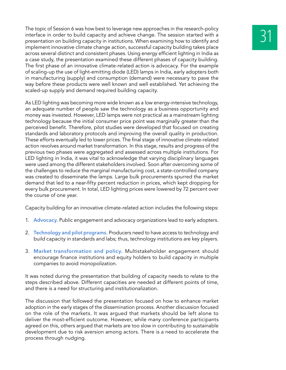The topic of Session 6 was how best to leverage new approaches in the research-policy<br>interface in order to build capacity and achieve change. The session started with a<br>presentation on building capacity in institutions. interface in order to build capacity and achieve change. The session started with a implement innovative climate change action, successful capacity building takes place across several distinct and consistent phases. Using energy efficient lighting in India as a case study, the presentation examined these different phases of capacity building. The first phase of an innovative climate-related action is advocacy. For the example of scaling-up the use of light-emitting diode (LED) lamps in India, early adopters both in manufacturing (supply) and consumption (demand) were necessary to pave the way before these products were well known and well established. Yet achieving the scaled-up supply and demand required building capacity.

As LED lighting was becoming more wide known as a low energy-intensive technology, an adequate number of people saw the technology as a business opportunity and money was invested. However, LED lamps were not practical as a mainstream lighting technology because the initial consumer price point was marginally greater than the perceived benefit. Therefore, pilot studies were developed that focused on creating standards and laboratory protocols and improving the overall quality in production. These efforts eventually led to lower prices. The final stage of innovative climate-related action revolves around market transformation. In this stage, results and progress of the previous two phases were aggregated and assessed across multiple institutions. For LED lighting in India, it was vital to acknowledge that varying disciplinary languages were used among the different stakeholders involved. Soon after overcoming some of the challenges to reduce the marginal manufacturing cost, a state-controlled company was created to disseminate the lamps. Large bulk procurements spurred the market demand that led to a near-fifty percent reduction in prices, which kept dropping for every bulk procurement. In total, LED lighting prices were lowered by 72 percent over the course of one year.

Capacity building for an innovative climate-related action includes the following steps:

- 1. **Advocacy.** Public engagement and advocacy organizations lead to early adopters.
- 2. **Technology and pilot programs.** Producers need to have access to technology and build capacity in standards and labs; thus, technology institutions are key players.
- 3. **Market transformation and policy.** Multistakeholder engagement should encourage finance institutions and equity holders to build capacity in multiple companies to avoid monopolization.

It was noted during the presentation that building of capacity needs to relate to the steps described above. Different capacities are needed at different points of time, and there is a need for structuring and institutionalization.

The discussion that followed the presentation focused on how to enhance market adoption in the early stages of the dissemination process. Another discussion focused on the role of the markets. It was argued that markets should be left alone to deliver the most-efficient outcome. However, while many conference participants agreed on this, others argued that markets are too slow in contributing to sustainable development due to risk aversion among actors. There is a need to accelerate the process through nudging.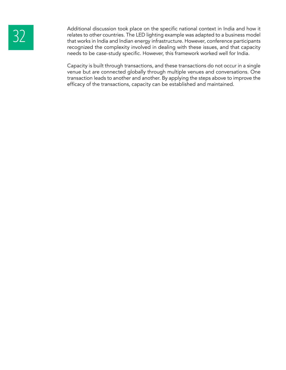Additional discussion took place on the specific national context in India and how it<br>relates to other countries. The LED lighting example was adapted to a business model<br>that works in India and Indian energy infrastructur relates to other countries. The LED lighting example was adapted to a business model that works in India and Indian energy infrastructure. However, conference participants recognized the complexity involved in dealing with these issues, and that capacity needs to be case-study specific. However, this framework worked well for India.

> Capacity is built through transactions, and these transactions do not occur in a single venue but are connected globally through multiple venues and conversations. One transaction leads to another and another. By applying the steps above to improve the efficacy of the transactions, capacity can be established and maintained.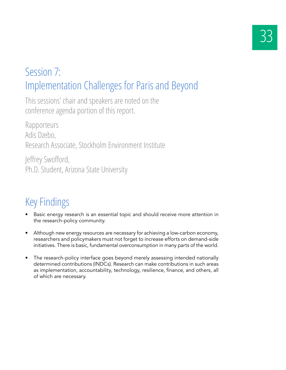## Session 7: Implementation Challenges for Paris and Beyond

This sessions' chair and speakers are noted on the conference agenda portion of this report.

Rapporteurs Adis Dzebo, Research Associate, Stockholm Environment Institute

Jeffrey Swofford, Ph.D. Student, Arizona State University

## Key Findings

- Basic energy research is an essential topic and should receive more attention in the research-policy community.
- Although new energy resources are necessary for achieving a low-carbon economy, researchers and policymakers must not forget to increase efforts on demand-side initiatives. There is basic, fundamental overconsumption in many parts of the world.
- The research-policy interface goes beyond merely assessing intended nationally determined contributions (INDCs). Research can make contributions in such areas as implementation, accountability, technology, resilience, finance, and others, all of which are necessary.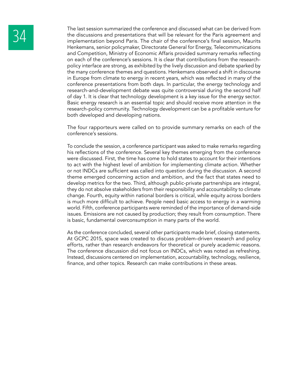The last session summarized the conference and discussed what can be derived from<br>the discussions and presentations that will be relevant for the Paris agreement and<br>implementation beyond Paris. The chair of the conference the discussions and presentations that will be relevant for the Paris agreement and Henkemans, senior policymaker, Directorate General for Energy, Telecommunications and Competition, Ministry of Economic Affaris provided summary remarks reflecting on each of the conference's sessions. It is clear that contributions from the researchpolicy interface are strong, as exhibited by the lively discussion and debate sparked by the many conference themes and questions. Henkemans observed a shift in discourse in Europe from climate to energy in recent years, which was reflected in many of the conference presentations from both days. In particular, the energy technology and research-and-development debate was quite controversial during the second half of day 1. It is clear that technology development is a key issue for the energy sector. Basic energy research is an essential topic and should receive more attention in the research-policy community. Technology development can be a profitable venture for both developed and developing nations.

> The four rapporteurs were called on to provide summary remarks on each of the conference's sessions.

> To conclude the session, a conference participant was asked to make remarks regarding his reflections of the conference. Several key themes emerging from the conference were discussed. First, the time has come to hold states to account for their intentions to act with the highest level of ambition for implementing climate action. Whether or not INDCs are sufficient was called into question during the discussion. A second theme emerged concerning action and ambition, and the fact that states need to develop metrics for the two. Third, although public-private partnerships are integral, they do not absolve stakeholders from their responsibility and accountability to climate change. Fourth, equity within national borders is critical, while equity across borders is much more difficult to achieve. People need basic access to energy in a warming world. Fifth, conference participants were reminded of the importance of demand-side issues. Emissions are not caused by production; they result from consumption. There is basic, fundamental overconsumption in many parts of the world.

> As the conference concluded, several other participants made brief, closing statements. At GCPC 2015, space was created to discuss problem-driven research and policy efforts, rather than research endeavors for theoretical or purely academic reasons. The conference discussion did not focus on INDCs, which was noted as refreshing. Instead, discussions centered on implementation, accountability, technology, resilience, finance, and other topics. Research can make contributions in these areas.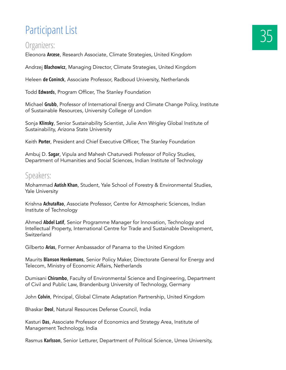## Participant List

#### Organizers:

Eleonora **Arcese**, Research Associate, Climate Strategies, United Kingdom

Andrzej **Blachowicz**, Managing Director, Climate Strategies, United Kingdom

Heleen **de Coninck**, Associate Professor, Radboud University, Netherlands

Todd **Edwards**, Program Officer, The Stanley Foundation

Michael **Grubb**, Professor of International Energy and Climate Change Policy, Institute of Sustainable Resources, University College of London

Sonja **Klinsky**, Senior Sustainability Scientist, Julie Ann Wrigley Global Institute of Sustainability, Arizona State University

Keith **Porter**, President and Chief Executive Officer, The Stanley Foundation

Ambuj D. **Sagar**, Vipula and Mahesh Chaturvedi Professor of Policy Studies, Department of Humanities and Social Sciences, Indian Institute of Technology

#### Speakers:

Mohammad **Aatish Khan**, Student, Yale School of Forestry & Environmental Studies, Yale University

Krishna **AchutaRao**, Associate Professor, Centre for Atmospheric Sciences, Indian Institute of Technology

Ahmed **Abdel Latif**, Senior Programme Manager for Innovation, Technology and Intellectual Property, International Centre for Trade and Sustainable Development, Switzerland

Gilberto **Arias**, Former Ambassador of Panama to the United Kingdom

Maurits **Blanson Henkemans**, Senior Policy Maker, Directorate General for Energy and Telecom, Ministry of Economic Affairs, Netherlands

Dumisani **Chirambo**, Faculty of Environmental Science and Engineering, Department of Civil and Public Law, Brandenburg University of Technology, Germany

John **Colvin**, Principal, Global Climate Adaptation Partnership, United Kingdom

Bhaskar **Deol**, Natural Resources Defense Council, India

Kasturi **Das**, Associate Professor of Economics and Strategy Area, Institute of Management Technology, India

Rasmus **Karlsson**, Senior Letturer, Department of Political Science, Umea University,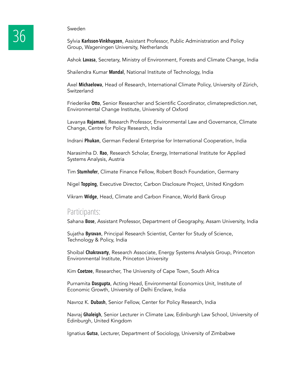Sylvia **Karlsson-Vinkhuyzen**, Assistant Professor, Public Administration and Policy Group, Wageningen University, Netherlands

Ashok **Lavasa**, Secretary, Ministry of Environment, Forests and Climate Change, India

Shailendra Kumar **Mandal**, National Institute of Technology, India

Axel **Michaelowa**, Head of Research, International Climate Policy, University of Zürich, **Switzerland** 

Friederike **Otto**, Senior Researcher and Scientific Coordinator, climateprediction.net, Environmental Change Institute, University of Oxford

Lavanya **Rajamani**, Research Professor, Environmental Law and Governance, Climate Change, Centre for Policy Research, India

Indrani **Phukan**, German Federal Enterprise for International Cooperation, India

Narasimha D. **Rao**, Research Scholar, Energy, International Institute for Applied Systems Analysis, Austria

Tim **Stumhofer**, Climate Finance Fellow, Robert Bosch Foundation, Germany

Nigel **Topping**, Executive Director, Carbon Disclosure Project, United Kingdom

Vikram **Widge**, Head, Climate and Carbon Finance, World Bank Group

#### Participants:

Sahana **Bose**, Assistant Professor, Department of Geography, Assam University, India

Sujatha **Byravan**, Principal Research Scientist, Center for Study of Science, Technology & Policy, India

Shoibal **Chakravarty**, Research Associate, Energy Systems Analysis Group, Princeton Environmental Institute, Princeton University

Kim **Coetzee**, Researcher, The University of Cape Town, South Africa

Purnamita **Dasgupta**, Acting Head, Environmental Economics Unit, Institute of Economic Growth, University of Delhi Enclave, India

Navroz K. **Dubash**, Senior Fellow, Center for Policy Research, India

Navraj **Ghaleigh**, Senior Lecturer in Climate Law, Edinburgh Law School, University of Edinburgh, United Kingdom

Ignatius **Gutsa**, Lecturer, Department of Sociology, University of Zimbabwe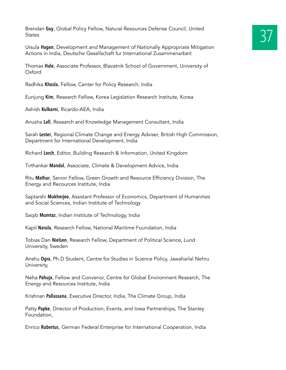Brendan **Guy**, Global Policy Fellow, Natural Resources Defense Council, United<br>States **1996 States** 

Ursula **Hagen**, Development and Management of Nationally Appropriate Mitigation Actions in India, Deutsche Gesellschaft fur International Zusammenarbeit

Thomas **Hale**, Associate Professor, Blavatnik School of Government, University of Oxford

Radhika **Khosla**, Fellow, Center for Policy Research, India

Eunjung **Kim**, Research Fellow, Korea Legislation Research Institute, Korea

Ashish **Kulkarni**, Ricardo-AEA, India

Anusha **Lall**, Research and Knowledge Management Consultant, India

Sarah **Lester**, Regional Climate Change and Energy Adviser, British High Commission, Department for International Development, India

Richard **Lorch**, Editor, Building Research & Information, United Kingdom

Tirthankar **Mandal**, Associate, Climate & Development Advice, India

Ritu **Mathur**, Senior Fellow, Green Growth and Resource Efficiency Division, The Energy and Recources Institute, India

Saptarshi **Mukherjee**, Assistant Professor of Economics, Department of Humanities and Social Sciences, Indian Institute of Technology

Saqib **Mumtaz**, Indian Institute of Technology, India

Kapil **Narula**, Research Fellow, National Maritime Foundation, India

Tobias Dan **Nielsen**, Research Fellow, Department of Political Science, Lund University, Sweden

Anshu **Ogra**, Ph.D Student, Centre for Studies in Science Policy, Jawaharlal Nehru University,

Neha **Pahuja**, Fellow and Convenor, Centre for Global Environment Research, The Energy and Resources Institute, India

Krishnan **Pallassana**, Executive Director, India, The Climate Group, India

Patty **Papke**, Director of Production, Events, and Iowa Partnerships, The Stanley Foundation,

Enrico **Rubertus**, German Federal Enterprise for International Cooperation, India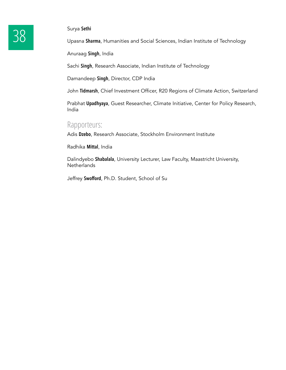Surya Sethi<br>
38 Upasna Sha

Upasna **Sharma**, Humanities and Social Sciences, Indian Institute of Technology

Anuraag **Singh**, India

Sachi **Singh**, Research Associate, Indian Institute of Technology

Damandeep **Singh**, Director, CDP India

John **Tidmarsh**, Chief Investment Officer, R20 Regions of Climate Action, Switzerland

Prabhat **Upadhyaya**, Guest Researcher, Climate Initiative, Center for Policy Research, India

#### Rapporteurs:

Adis **Dzebo**, Research Associate, Stockholm Environment Institute

Radhika **Mittal**, India

Dalindyebo **Shabalala**, University Lecturer, Law Faculty, Maastricht University, **Netherlands** 

Jeffrey **Swofford**, Ph.D. Student, School of Su